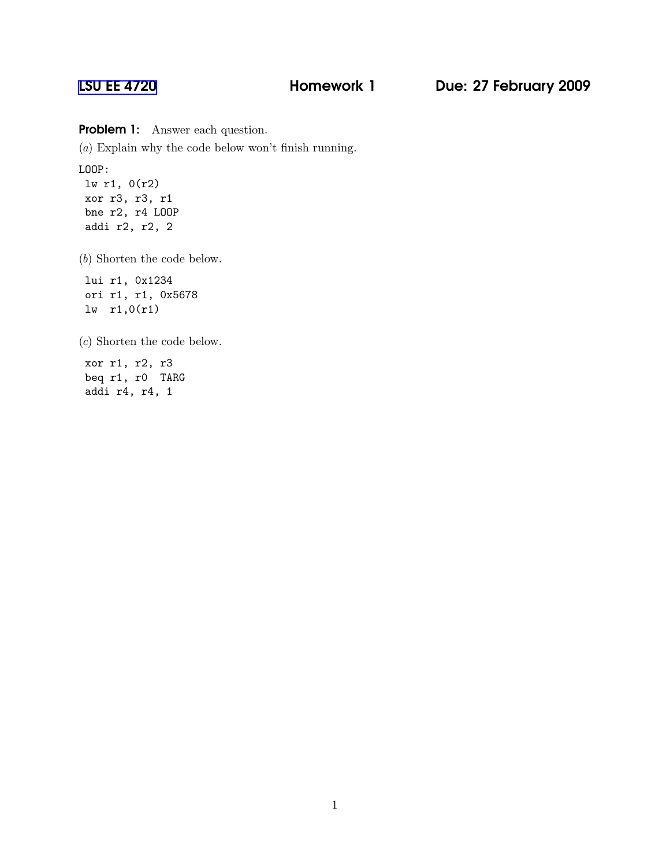## [LSU EE 4720](http://www.ece.lsu.edu/ee4720/) **Homework 1** Due: 27 February 2009

Problem 1: Answer each question.

(a) Explain why the code below won't finish running.

LOOP:

lw r1, 0(r2) xor r3, r3, r1 bne r2, r4 LOOP addi r2, r2, 2

(b) Shorten the code below.

lui r1, 0x1234 ori r1, r1, 0x5678 lw r1,0(r1)

(c) Shorten the code below.

xor r1, r2, r3 beq r1, r0 TARG addi r4, r4, 1